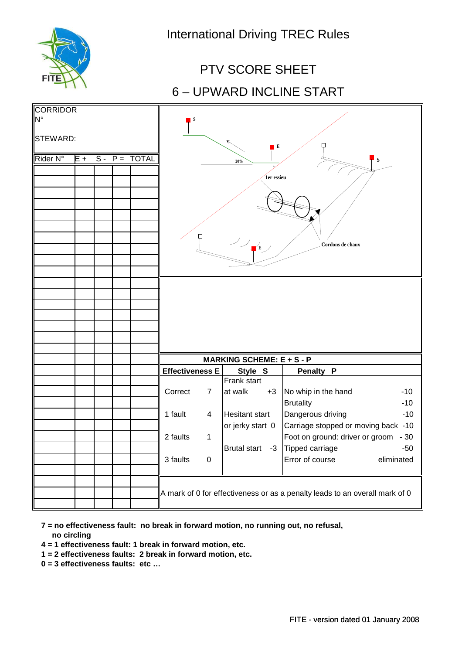

# 6 – UPWARD INCLINE START PTV SCORE SHEET

| <b>CORRIDOR</b><br>N°<br>STEWARD:<br>Rider N° | $S - P =$<br><b>TOTAL</b><br>$E +$ |  |  |  | $\blacksquare$ s<br>$\blacksquare$<br>${\bf S}$<br>20%<br>1er essieu<br>Ф<br>$\frac{1}{\sqrt{2}}$<br>Cordons de chaux |                  |                        |      |                                                                                                                |                |  |
|-----------------------------------------------|------------------------------------|--|--|--|-----------------------------------------------------------------------------------------------------------------------|------------------|------------------------|------|----------------------------------------------------------------------------------------------------------------|----------------|--|
|                                               |                                    |  |  |  |                                                                                                                       |                  |                        |      |                                                                                                                |                |  |
|                                               |                                    |  |  |  | <b>MARKING SCHEME: E + S - P</b>                                                                                      |                  |                        |      |                                                                                                                |                |  |
|                                               |                                    |  |  |  | <b>Effectiveness E</b>                                                                                                |                  | Style S                |      | <b>Penalty P</b>                                                                                               |                |  |
|                                               |                                    |  |  |  | Correct                                                                                                               | $\overline{7}$   | Frank start<br>at walk | $+3$ | No whip in the hand<br><b>Brutality</b>                                                                        | $-10$<br>$-10$ |  |
|                                               |                                    |  |  |  | 1 fault                                                                                                               | 4                | <b>Hesitant start</b>  |      | Dangerous driving                                                                                              | $-10$          |  |
|                                               |                                    |  |  |  | 2 faults                                                                                                              | $\mathbf 1$      | or jerky start 0       |      | Carriage stopped or moving back -10<br>Foot on ground: driver or groom - 30<br>Brutal start -3 Tipped carriage | -50            |  |
|                                               |                                    |  |  |  | 3 faults                                                                                                              | $\boldsymbol{0}$ |                        |      | Error of course                                                                                                | eliminated     |  |
|                                               |                                    |  |  |  | A mark of 0 for effectiveness or as a penalty leads to an overall mark of 0                                           |                  |                        |      |                                                                                                                |                |  |

 **7 = no effectiveness fault: no break in forward motion, no running out, no refusal, no circling**

 **4 = 1 effectiveness fault: 1 break in forward motion, etc.**

 **1 = 2 effectiveness faults: 2 break in forward motion, etc.**

 **0 = 3 effectiveness faults: etc …**